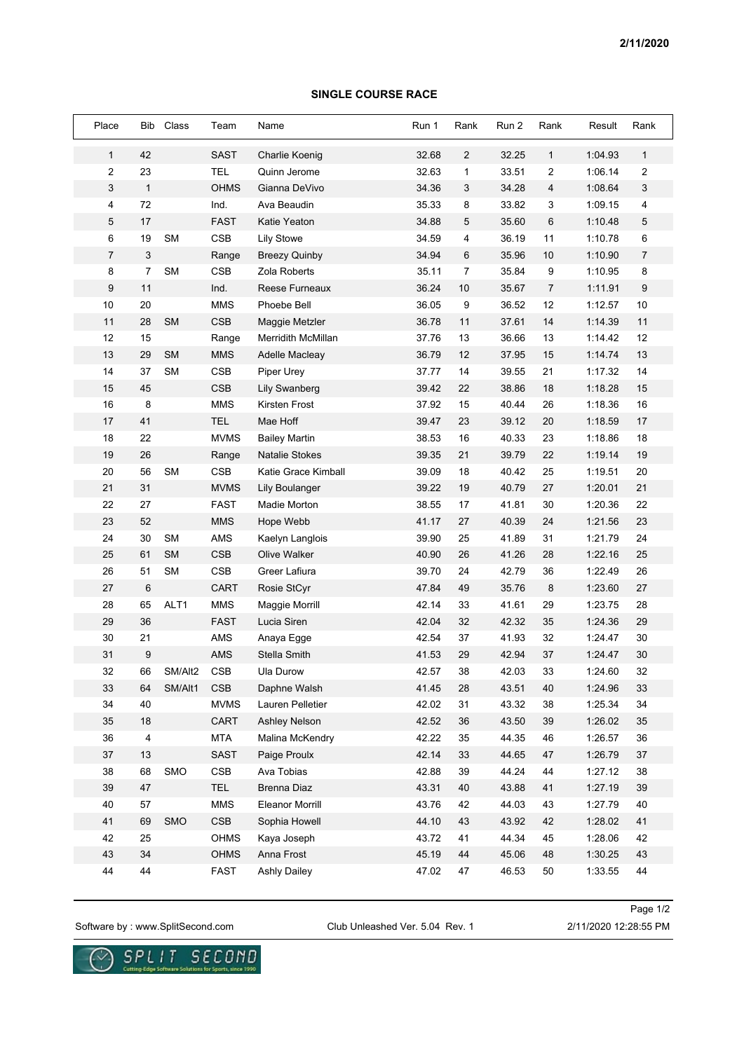## **SINGLE COURSE RACE**

| Place          | Bib            | Class      | Team        | Name                   | Run 1 | Rank           | Run 2 | Rank         | Result  | Rank             |
|----------------|----------------|------------|-------------|------------------------|-------|----------------|-------|--------------|---------|------------------|
| $\mathbf{1}$   | 42             |            | <b>SAST</b> | <b>Charlie Koenig</b>  | 32.68 | $\overline{2}$ | 32.25 | $\mathbf{1}$ | 1:04.93 | $\mathbf{1}$     |
| 2              | 23             |            | <b>TEL</b>  | Quinn Jerome           | 32.63 | $\mathbf{1}$   | 33.51 | 2            | 1:06.14 | 2                |
| 3              | $\mathbf{1}$   |            | <b>OHMS</b> | Gianna DeVivo          | 34.36 | 3              | 34.28 | 4            | 1:08.64 | 3                |
| 4              | 72             |            | Ind.        | Ava Beaudin            | 35.33 | 8              | 33.82 | 3            | 1:09.15 | $\overline{4}$   |
| 5              | 17             |            | <b>FAST</b> | Katie Yeaton           | 34.88 | $\overline{5}$ | 35.60 | 6            | 1:10.48 | 5                |
| 6              | 19             | <b>SM</b>  | <b>CSB</b>  | <b>Lily Stowe</b>      | 34.59 | 4              | 36.19 | 11           | 1:10.78 | 6                |
| $\overline{7}$ | 3              |            | Range       | <b>Breezy Quinby</b>   | 34.94 | 6              | 35.96 | 10           | 1:10.90 | $\overline{7}$   |
| 8              | $\overline{7}$ | <b>SM</b>  | <b>CSB</b>  | Zola Roberts           | 35.11 | $\overline{7}$ | 35.84 | 9            | 1:10.95 | 8                |
| 9              | 11             |            | Ind.        | Reese Furneaux         | 36.24 | 10             | 35.67 | 7            | 1:11.91 | $\boldsymbol{9}$ |
| 10             | 20             |            | <b>MMS</b>  | Phoebe Bell            | 36.05 | 9              | 36.52 | 12           | 1:12.57 | 10               |
| 11             | 28             | <b>SM</b>  | <b>CSB</b>  | Maggie Metzler         | 36.78 | 11             | 37.61 | 14           | 1:14.39 | 11               |
| 12             | 15             |            | Range       | Merridith McMillan     | 37.76 | 13             | 36.66 | 13           | 1:14.42 | 12               |
| 13             | 29             | <b>SM</b>  | <b>MMS</b>  | Adelle Macleay         | 36.79 | 12             | 37.95 | 15           | 1:14.74 | 13               |
| 14             | 37             | <b>SM</b>  | <b>CSB</b>  | <b>Piper Urey</b>      | 37.77 | 14             | 39.55 | 21           | 1:17.32 | 14               |
| 15             | 45             |            | <b>CSB</b>  | <b>Lily Swanberg</b>   | 39.42 | 22             | 38.86 | 18           | 1:18.28 | 15               |
| 16             | 8              |            | <b>MMS</b>  | Kirsten Frost          | 37.92 | 15             | 40.44 | 26           | 1:18.36 | 16               |
| 17             | 41             |            | <b>TEL</b>  | Mae Hoff               | 39.47 | 23             | 39.12 | 20           | 1:18.59 | 17               |
| 18             | 22             |            | <b>MVMS</b> | <b>Bailey Martin</b>   | 38.53 | 16             | 40.33 | 23           | 1:18.86 | 18               |
| 19             | 26             |            | Range       | <b>Natalie Stokes</b>  | 39.35 | 21             | 39.79 | 22           | 1:19.14 | 19               |
| 20             | 56             | <b>SM</b>  | <b>CSB</b>  | Katie Grace Kimball    | 39.09 | 18             | 40.42 | 25           | 1:19.51 | 20               |
| 21             | 31             |            | <b>MVMS</b> | <b>Lily Boulanger</b>  | 39.22 | 19             | 40.79 | 27           | 1:20.01 | 21               |
| 22             | 27             |            | <b>FAST</b> | Madie Morton           | 38.55 | 17             | 41.81 | 30           | 1:20.36 | 22               |
| 23             | 52             |            | <b>MMS</b>  | Hope Webb              | 41.17 | 27             | 40.39 | 24           | 1:21.56 | 23               |
| 24             | 30             | <b>SM</b>  | AMS         | Kaelyn Langlois        | 39.90 | 25             | 41.89 | 31           | 1:21.79 | 24               |
| 25             | 61             | <b>SM</b>  | <b>CSB</b>  | Olive Walker           | 40.90 | 26             | 41.26 | 28           | 1:22.16 | 25               |
| 26             | 51             | <b>SM</b>  | <b>CSB</b>  | Greer Lafiura          | 39.70 | 24             | 42.79 | 36           | 1:22.49 | 26               |
| 27             | $6\phantom{1}$ |            | <b>CART</b> | Rosie StCyr            | 47.84 | 49             | 35.76 | 8            | 1:23.60 | 27               |
| 28             | 65             | ALT1       | <b>MMS</b>  | Maggie Morrill         | 42.14 | 33             | 41.61 | 29           | 1:23.75 | 28               |
| 29             | 36             |            | <b>FAST</b> | Lucia Siren            | 42.04 | 32             | 42.32 | 35           | 1:24.36 | 29               |
| 30             | 21             |            | AMS         | Anaya Egge             | 42.54 | 37             | 41.93 | 32           | 1:24.47 | 30               |
| 31             | 9              |            | <b>AMS</b>  | Stella Smith           | 41.53 | 29             | 42.94 | 37           | 1:24.47 | 30               |
| 32             | 66             | SM/Alt2    | <b>CSB</b>  | Ula Durow              | 42.57 | 38             | 42.03 | 33           | 1:24.60 | 32               |
| 33             | 64             | SM/Alt1    | <b>CSB</b>  | Daphne Walsh           | 41.45 | 28             | 43.51 | 40           | 1:24.96 | 33               |
| 34             | 40             |            | <b>MVMS</b> | Lauren Pelletier       | 42.02 | 31             | 43.32 | 38           | 1:25.34 | 34               |
| 35             | 18             |            | CART        | Ashley Nelson          | 42.52 | 36             | 43.50 | 39           | 1:26.02 | 35               |
| 36             | 4              |            | <b>MTA</b>  | Malina McKendry        | 42.22 | 35             | 44.35 | 46           | 1:26.57 | 36               |
| 37             | 13             |            | <b>SAST</b> | Paige Proulx           | 42.14 | 33             | 44.65 | 47           | 1:26.79 | 37               |
| 38             | 68             | SMO        | CSB         | Ava Tobias             | 42.88 | 39             | 44.24 | 44           | 1:27.12 | 38               |
| 39             | 47             |            | <b>TEL</b>  | Brenna Diaz            | 43.31 | 40             | 43.88 | 41           | 1:27.19 | 39               |
| 40             | 57             |            | <b>MMS</b>  | <b>Eleanor Morrill</b> | 43.76 | 42             | 44.03 | 43           | 1:27.79 | 40               |
| 41             | 69             | <b>SMO</b> | <b>CSB</b>  | Sophia Howell          | 44.10 | 43             | 43.92 | 42           | 1:28.02 | 41               |
| 42             | 25             |            | OHMS        | Kaya Joseph            | 43.72 | 41             | 44.34 | 45           | 1:28.06 | 42               |
| 43             | 34             |            | OHMS        | Anna Frost             | 45.19 | 44             | 45.06 | 48           | 1:30.25 | 43               |
| 44             | 44             |            | FAST        | Ashly Dailey           | 47.02 | 47             | 46.53 | 50           | 1:33.55 | 44               |

**SPLIT** 

SECOND

Software by : www.SplitSecond.com Club Unleashed Ver. 5.04 Rev. 1 2/11/2020 12:28:55 PM

Page 1/2